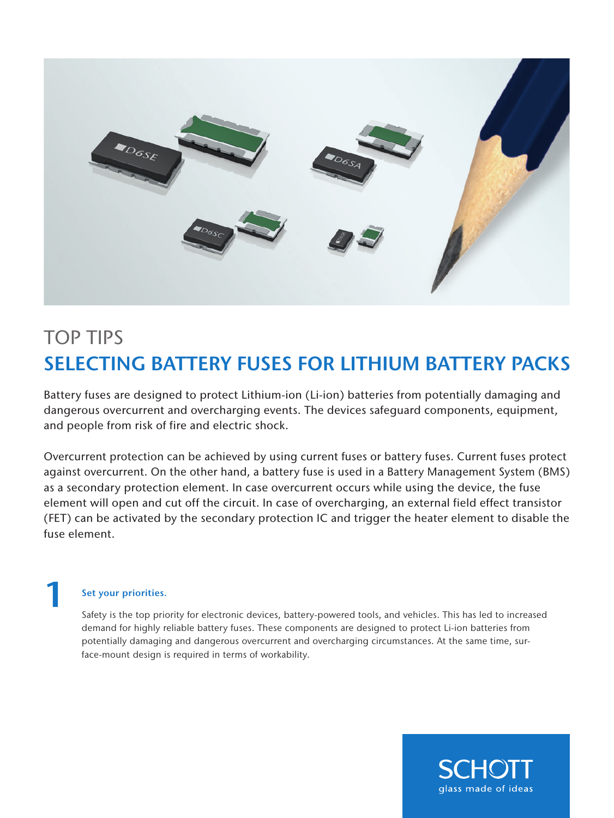

# TOP TIPS SELECTING BATTERY FUSES FOR LITHIUM BATTERY PACKS

Battery fuses are designed to protect Lithium-ion (Li-ion) batteries from potentially damaging and dangerous overcurrent and overcharging events. The devices safeguard components, equipment, and people from risk of fire and electric shock.

Overcurrent protection can be achieved by using current fuses or battery fuses. Current fuses protect against overcurrent. On the other hand, a battery fuse is used in a Battery Management System (BMS) as a secondary protection element. In case overcurrent occurs while using the device, the fuse element will open and cut off the circuit. In case of overcharging, an external field effect transistor (FET) can be activated by the secondary protection IC and trigger the heater element to disable the fuse element.

### Set your priorities.

1

Safety is the top priority for electronic devices, battery-powered tools, and vehicles. This has led to increased demand for highly reliable battery fuses. These components are designed to protect Li-ion batteries from potentially damaging and dangerous overcurrent and overcharging circumstances. At the same time, surface-mount design is required in terms of workability.

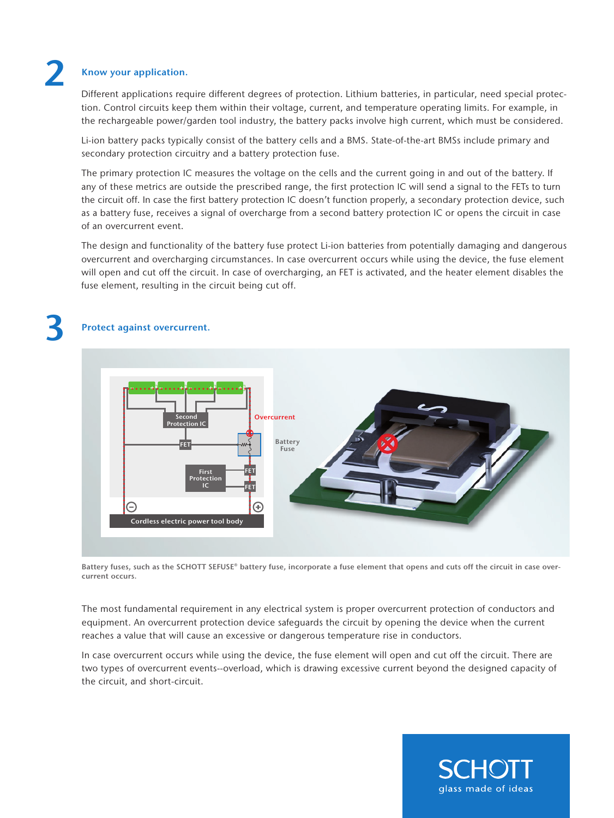2

#### Know your application.

Different applications require different degrees of protection. Lithium batteries, in particular, need special protection. Control circuits keep them within their voltage, current, and temperature operating limits. For example, in the rechargeable power/garden tool industry, the battery packs involve high current, which must be considered.

Li-ion battery packs typically consist of the battery cells and a BMS. State-of-the-art BMSs include primary and secondary protection circuitry and a battery protection fuse.

The primary protection IC measures the voltage on the cells and the current going in and out of the battery. If any of these metrics are outside the prescribed range, the first protection IC will send a signal to the FETs to turn the circuit off. In case the first battery protection IC doesn't function properly, a secondary protection device, such as a battery fuse, receives a signal of overcharge from a second battery protection IC or opens the circuit in case of an overcurrent event.

The design and functionality of the battery fuse protect Li-ion batteries from potentially damaging and dangerous overcurrent and overcharging circumstances. In case overcurrent occurs while using the device, the fuse element will open and cut off the circuit. In case of overcharging, an FET is activated, and the heater element disables the fuse element, resulting in the circuit being cut off.

# 3 Protect against overcurrent.



Battery fuses, such as the SCHOTT SEFUSE® battery fuse, incorporate a fuse element that opens and cuts off the circuit in case overcurrent occurs.

The most fundamental requirement in any electrical system is proper overcurrent protection of conductors and equipment. An overcurrent protection device safeguards the circuit by opening the device when the current reaches a value that will cause an excessive or dangerous temperature rise in conductors.

In case overcurrent occurs while using the device, the fuse element will open and cut off the circuit. There are two types of overcurrent events--overload, which is drawing excessive current beyond the designed capacity of the circuit, and short-circuit.